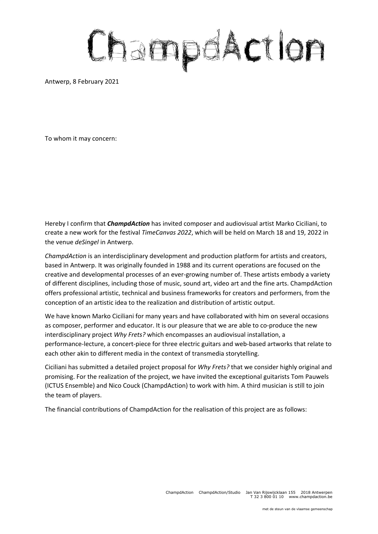## ChampdAction

Antwerp, 8 February 2021

To whom it may concern:

Hereby I confirm that *ChampdAction* has invited composer and audiovisual artist Marko Ciciliani, to create a new work for the festival *TimeCanvas 2022*, which will be held on March 18 and 19, 2022 in the venue *deSingel* in Antwerp.

*ChampdAction* is an interdisciplinary development and production platform for artists and creators, based in Antwerp. It was originally founded in 1988 and its current operations are focused on the creative and developmental processes of an ever-growing number of. These artists embody a variety of different disciplines, including those of music, sound art, video art and the fine arts. ChampdAction offers professional artistic, technical and business frameworks for creators and performers, from the conception of an artistic idea to the realization and distribution of artistic output.

We have known Marko Ciciliani for many years and have collaborated with him on several occasions as composer, performer and educator. It is our pleasure that we are able to co-produce the new interdisciplinary project *Why Frets?* which encompasses an audiovisual installation, a performance-lecture, a concert-piece for three electric guitars and web-based artworks that relate to each other akin to different media in the context of transmedia storytelling.

Ciciliani has submitted a detailed project proposal for *Why Frets?* that we consider highly original and promising. For the realization of the project, we have invited the exceptional guitarists Tom Pauwels (ICTUS Ensemble) and Nico Couck (ChampdAction) to work with him. A third musician is still to join the team of players.

The financial contributions of ChampdAction for the realisation of this project are as follows: